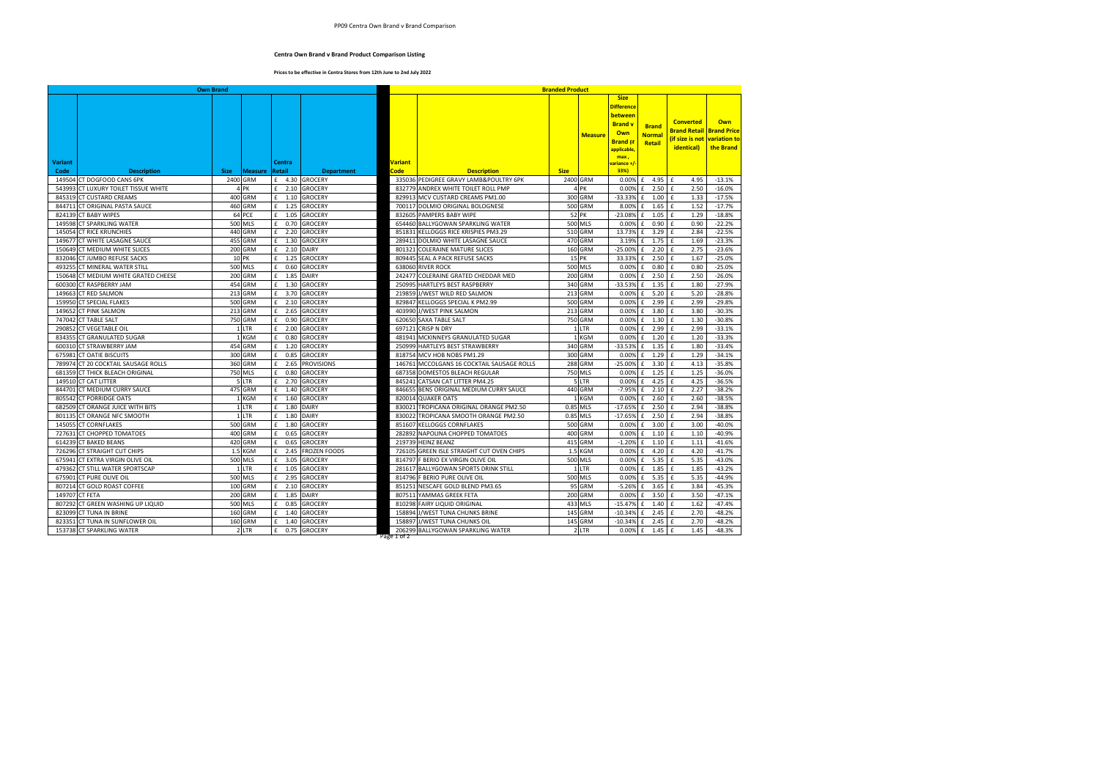## PP09 Centra Own Brand v Brand Comparison

## **Centra Own Brand v Brand Product Comparison Listing**

## **Prices to be effective in Centra Stores from 12th June to 2nd July 2022**

| Own Brand      |                                                         |             |                    |                      |                                  | <b>Branded Product</b> |                                                                 |              |                   |                                                                                                 |                                         |                                                                                     |                      |
|----------------|---------------------------------------------------------|-------------|--------------------|----------------------|----------------------------------|------------------------|-----------------------------------------------------------------|--------------|-------------------|-------------------------------------------------------------------------------------------------|-----------------------------------------|-------------------------------------------------------------------------------------|----------------------|
|                |                                                         |             |                    |                      |                                  |                        |                                                                 |              | <b>Measure</b>    | <b>Size</b><br><b>Difference</b><br><b>between</b><br><b>Brand v</b><br>Own<br><b>Brand</b> (if | <b>Brand</b><br><b>Normal</b><br>Retail | <b>Converted</b><br><b>Brand Retail Brand Price</b><br>(if size is not variation to | <b>Own</b>           |
|                |                                                         |             |                    |                      |                                  |                        |                                                                 |              |                   | applicable                                                                                      |                                         | identical)                                                                          | the Brand            |
| <b>Variant</b> |                                                         |             |                    | Centra               |                                  | Variant                |                                                                 |              |                   | max,                                                                                            |                                         |                                                                                     |                      |
| Code           | <b>Description</b>                                      | <b>Size</b> | <b>Measure</b>     | Retail               | <b>Department</b>                | Code                   | <b>Description</b>                                              | <b>Size</b>  |                   | <mark>rariance +/</mark><br>33%)                                                                |                                         |                                                                                     |                      |
| 149504         | CT DOGFOOD CANS 6PK                                     |             | 2400 GRM           | £ 4.30               | <b>GROCERY</b>                   |                        | 335036 PEDIGREE GRAVY LAMB&POULTRY 6PK                          |              | 2400 GRM          | 0.00%                                                                                           | 4.95<br>£                               | £<br>4.95                                                                           | $-13.1%$             |
|                | 543993 CT LUXURY TOILET TISSUE WHITE                    |             | 4 <sub>PK</sub>    | £ 2.10               | <b>GROCERY</b>                   |                        | 832779 ANDREX WHITE TOILET ROLL PMP                             |              | 4 PK              | 0.00%                                                                                           | 2.50<br>£                               | $\mathbf{f}$<br>2.50                                                                | $-16.0%$             |
|                | 845319 CT CUSTARD CREAMS                                |             | 400 GRM            | $f = 1.10$           | <b>GROCERY</b>                   |                        | 829913 MCV CUSTARD CREAMS PM1.00                                |              | 300 GRM           | -33.33%                                                                                         | 1.00<br>£                               | $\pmb{\mathsf{f}}$<br>1.33                                                          | $-17.5%$             |
|                | 844711 CT ORIGINAL PASTA SAUCE                          |             | 460 GRM            | f<br>1.25            | <b>GROCERY</b>                   |                        | 700117 DOLMIO ORIGINAL BOLOGNESE                                |              | 500 GRM           | 8.00%                                                                                           | 1.65<br>£                               | £<br>1.52                                                                           | $-17.7%$             |
|                | 824139 CT BABY WIPES                                    |             | 64 PCE             | f<br>1.05            | <b>GROCERY</b>                   |                        | 832605 PAMPERS BABY WIPE                                        |              | 52 PK             | $-23.08%$                                                                                       | f<br>1.05                               | $\pmb{\mathsf{f}}$<br>1.29                                                          | $-18.8%$             |
| 149598         | <b>CT SPARKLING WATER</b>                               |             | 500 MLS            | $£$ 0.70             | <b>GROCERY</b>                   |                        | 654460 BALLYGOWAN SPARKLING WATER                               |              | 500 MLS           | 0.00%                                                                                           | £ 0.90                                  | £<br>0.90                                                                           | $-22.2%$             |
|                | 145054 CT RICE KRUNCHIES                                |             | 440 GRM            | $£$ 2.20             | <b>GROCERY</b>                   |                        | 851831 KELLOGGS RICE KRISPIES PM3.29                            |              | 510 GRM           | 13.73%                                                                                          | £ 3.29                                  | $\mathbf f$<br>2.84                                                                 | $-22.5%$             |
|                | 149677 CT WHITE LASAGNE SAUCE                           |             | 455 GRM            | £ 1.30               | <b>GROCERY</b>                   |                        | 289411 DOLMIO WHITE LASAGNE SAUCE                               |              | 470 GRM           | 3.19%                                                                                           | £ 1.75                                  | E<br>1.69                                                                           | $-23.3%$             |
|                | 150649 CT MEDIUM WHITE SLICES                           |             | 200 GRM            | f<br>2.10            | <b>DAIRY</b>                     | 801321                 | <b>COLERAINE MATURE SLICES</b>                                  |              | 160 GRM           | $-25.00%$                                                                                       | £<br>2.20                               | $\pmb{\mathsf{f}}$<br>2.75                                                          | $-23.6%$             |
|                | 832046 CT JUMBO REFUSE SACKS                            |             | 10 PK              | $£$ 1.25             | <b>GROCERY</b>                   |                        | 809445 SEAL A PACK REFUSE SACKS                                 |              | 15 PK             | 33.33%                                                                                          | $£$ 2.50                                | $\pmb{\mathsf{f}}$<br>1.67                                                          | $-25.0%$             |
|                | 493255 CT MINERAL WATER STILL                           |             | 500 MLS            | £<br>0.60            | <b>GROCERY</b>                   |                        | 638060 RIVER ROCK                                               |              | 500 MLS           | 0.00%                                                                                           | £<br>0.80                               | $\pmb{\mathsf{f}}$<br>0.80                                                          | $-25.0%$             |
|                | 150648 CT MEDIUM WHITE GRATED CHEESE                    |             | 200 GRM            | f<br>1.85            | <b>DAIRY</b>                     | 242477                 | <b>COLERAINE GRATED CHEDDAR MED</b>                             |              | 200 GRM           | 0.00%                                                                                           | 2.50<br>£                               | £<br>2.50                                                                           | $-26.0%$             |
| 600300         | <b>CT RASPBERRY JAM</b>                                 |             | 454 GRM            | f<br>1.30            | <b>GROCERY</b>                   |                        | 250995 HARTLEYS BEST RASPBERRY                                  |              | 340 GRM           | $-33.53%$                                                                                       | £<br>1.35                               | £<br>1.80                                                                           | $-27.9%$             |
|                | 149663 CT RED SALMON                                    |             | 213 GRM            | f<br>3.70            | GROCERY                          |                        | 219859 J/WEST WILD RED SALMON                                   |              | 213 GRM           | 0.00%                                                                                           | £<br>5.20                               | 5.20<br>£                                                                           | $-28.8%$             |
| 159950         | <b>CT SPECIAL FLAKES</b>                                |             | 500 GRM            | £<br>2.10            | GROCERY                          |                        | 829847 KELLOGGS SPECIAL K PM2.99                                |              | 500 GRM           | 0.00%                                                                                           | 2.99<br>£                               | 2.99<br>£                                                                           | $-29.8%$             |
|                | 149652 CT PINK SALMON                                   |             | 213 GRM            | £<br>2.65            | <b>GROCERY</b>                   |                        | 403990 J/WEST PINK SALMON                                       |              | 213 GRM           | 0.00%                                                                                           | 3.80<br>£                               | $\pmb{\mathsf{f}}$<br>3.80                                                          | $-30.3%$             |
|                | 747042 CT TABLE SALT                                    |             | 750 GRM            | f<br>0.90            | <b>GROCERY</b>                   |                        | 620650 SAXA TABLE SALT                                          |              | 750 GRM           | 0.00%                                                                                           | £ 1.30                                  | $\pmb{\mathsf{f}}$<br>1.30                                                          | $-30.8%$             |
| 290852         | <b>CT VEGETABLE OIL</b>                                 |             | 1 LTR              | £<br>2.00            | <b>GROCERY</b>                   | 697121                 | <b>CRISP N DRY</b>                                              | 1            | <b>LTR</b>        | 0.00%                                                                                           | 2.99<br>£                               | 2.99<br>£                                                                           | $-33.1%$             |
|                | 834355 CT GRANULATED SUGAR                              |             | 1 KGM              | f<br>0.80            | <b>GROCERY</b>                   |                        | 481941 MCKINNEYS GRANULATED SUGAR                               |              | 1 KGM             | 0.00%                                                                                           | 1.20<br>£                               | $\mathbf{f}$<br>1.20                                                                | $-33.3%$             |
|                | 600310 CT STRAWBERRY JAM                                |             | 454 GRM            | £<br>1.20            | <b>GROCERY</b>                   |                        | 250999 HARTLEYS BEST STRAWBERRY                                 |              | 340 GRM           | $-33.53%$                                                                                       | £<br>1.35                               | $\pmb{\mathsf{f}}$<br>1.80                                                          | $-33.4%$             |
|                | 675981 CT OATIE BISCUITS                                |             | 300 GRM            | $\mathbf{f}$<br>0.85 | <b>GROCERY</b>                   |                        | 818754 MCV HOB NOBS PM1.29                                      |              | 300 GRM           | 0.00%                                                                                           | 1.29<br>£                               | £<br>1.29                                                                           | $-34.1%$             |
|                | 789974 CT 20 COCKTAIL SAUSAGE ROLLS                     |             | 360 GRM            | £<br>2.65            | <b>PROVISIONS</b>                |                        | 146761 MCCOLGANS 16 COCKTAIL SAUSAGE ROLLS                      |              | 288 GRM           | $-25.00%$                                                                                       | £<br>3.30                               | £<br>4.13                                                                           | $-35.8%$             |
| 681359         | <b>CT THICK BLEACH ORIGINAL</b>                         |             | 750 MLS            | $\mathbf{f}$<br>0.80 | <b>GROCERY</b>                   | 687358                 | <b>DOMESTOS BLEACH REGULAR</b>                                  |              | 750 MLS           | 0.00%                                                                                           | 1.25<br>£                               | £<br>1.25                                                                           | $-36.0%$             |
|                | 149510 CT CAT LITTER                                    |             | 5 LTR              | £<br>2.70            | <b>GROCERY</b>                   | 845241                 | CATSAN CAT LITTER PM4.25                                        |              | 5 LTR             | 0.00%                                                                                           | £<br>4.25                               | £<br>4.25                                                                           | $-36.5%$             |
|                | 844701 CT MEDIUM CURRY SAUCE                            |             | 475 GRM            | f<br>1.40            | <b>GROCERY</b>                   | 846655                 | BENS ORIGINAL MEDIUM CURRY SAUCE                                |              | 440 GRM           | $-7.95%$                                                                                        | 2.10<br>£                               | $\mathbf{f}$<br>2.27                                                                | $-38.2%$             |
|                | 805542 CT PORRIDGE OATS                                 |             | 1 KGM              | f<br>1.60            | <b>GROCERY</b>                   | 820014                 | <b>QUAKER OATS</b>                                              | $\mathbf{1}$ | <b>KGM</b>        | 0.00%                                                                                           | 2.60<br>£                               | 2.60<br>£                                                                           | $-38.5%$             |
|                | 682509 CT ORANGE JUICE WITH BITS                        |             | 1 LTR              | f<br>1.80            | <b>DAIRY</b>                     | 830021                 | TROPICANA ORIGINAL ORANGE PM2.50                                |              | 0.85 MLS          | $-17.65%$                                                                                       | 2.50<br>£                               | £<br>2.94                                                                           | $-38.8%$             |
|                | 801135 CT ORANGE NFC SMOOTH                             |             | 1 LTR              | £ 1.80               | <b>DAIRY</b>                     |                        | 830022 TROPICANA SMOOTH ORANGE PM2.50                           | 0.85         | <b>MLS</b>        | $-17.65%$                                                                                       | £ 2.50                                  | 2.94<br>£                                                                           | $-38.8%$             |
|                | 145055 CT CORNFLAKES                                    |             | 500 GRM            | f<br>1.80            | <b>GROCERY</b>                   |                        | 851607 KELLOGGS CORNFLAKES                                      |              | 500 GRM           | 0.00%                                                                                           | £ 3.00                                  | £<br>3.00                                                                           | $-40.0%$             |
|                | 727631 CT CHOPPED TOMATOES                              |             | 400 GRM            | $£$ 0.65             | <b>GROCERY</b>                   |                        | 282892 NAPOLINA CHOPPED TOMATOES                                |              | 400 GRM           | 0.00%                                                                                           | $f = 1.10$                              | $\mathbf{f}$<br>1.10                                                                | $-40.9%$             |
|                | 614239 CT BAKED BEANS                                   |             | 420 GRM            | f<br>0.65            | <b>GROCERY</b>                   |                        | 219739 HEINZ BEANZ                                              |              | 415 GRM           | $-1.20%$                                                                                        | £<br>$1.10$ f                           | 1.11                                                                                | $-41.6%$             |
|                | 726296 CT STRAIGHT CUT CHIPS                            |             | 1.5 KGM            | £<br>2.45            | <b>FROZEN FOODS</b>              | 726105                 | <b>GREEN ISLE STRAIGHT CUT OVEN CHIPS</b>                       |              | 1.5 KGM           | 0.00%                                                                                           | £<br>4.20                               | $\pmb{\mathsf{f}}$<br>4.20                                                          | $-41.7%$             |
| 675941         | CT EXTRA VIRGIN OLIVE OIL                               |             | 500 MLS            | f<br>3.05            | <b>GROCERY</b>                   |                        | 814797 F BERIO EX VIRGIN OLIVE OIL                              |              | 500 MLS           | 0.00%                                                                                           | £<br>5.35                               | £<br>5.35                                                                           | $-43.0%$             |
| 479362         | CT STILL WATER SPORTSCAP                                |             | 1 LTR              | $£$ 1.05             | <b>GROCERY</b>                   |                        | 281617 BALLYGOWAN SPORTS DRINK STILL                            |              | 1 LTR             | 0.00%                                                                                           | £ 1.85                                  | £<br>1.85                                                                           | $-43.2%$             |
| 675901         | <b>CT PURE OLIVE OIL</b><br>807214 CT GOLD ROAST COFFEE |             | 500 MLS<br>100 GRM | £<br>2.95<br>£ 2.10  | <b>GROCERY</b><br><b>GROCERY</b> | 851251                 | 814796 F BERIO PURE OLIVE OIL                                   |              | 500 MLS<br>95 GRM | 0.00%<br>$-5.26%$                                                                               | £<br>5.35<br>3.65<br>£                  | £<br>5.35<br>$\mathbf{f}$<br>3.84                                                   | $-44.9%$             |
| 149707 CT FETA |                                                         |             | 200 GRM            | f<br>1.85            | <b>DAIRY</b>                     |                        | NESCAFE GOLD BLEND PM3.65<br>807511 YAMMAS GREEK FETA           |              | 200 GRM           | 0.00%                                                                                           | 3.50<br>£                               | $\mathbf{f}$<br>3.50                                                                | $-45.3%$<br>$-47.1%$ |
| 807292         |                                                         |             | 500 MLS            | £<br>0.85            | <b>GROCERY</b>                   |                        |                                                                 |              | 433 MLS           | $-15.47%$                                                                                       | £<br>1.40                               | 1.62<br>£                                                                           | $-47.4%$             |
| 823099         | CT GREEN WASHING UP LIQUID<br><b>CT TUNA IN BRINE</b>   |             | 160 GRM            | $£$ 1.40             | <b>GROCERY</b>                   |                        | 810298 FAIRY LIQUID ORIGINAL<br>158894 J/WEST TUNA CHUNKS BRINE |              | 145 GRM           | $-10.34%$                                                                                       | £ 2.45                                  | £<br>2.70                                                                           | $-48.2%$             |
|                | 823351 CT TUNA IN SUNFLOWER OIL                         |             | 160 GRM            | f<br>1.40            | <b>GROCERY</b>                   |                        | 158897 J/WEST TUNA CHUNKS OIL                                   |              | 145 GRM           | $-10.34%$                                                                                       | £ 2.45                                  | $\pmb{\mathsf{f}}$<br>2.70                                                          | $-48.2%$             |
|                | 153738 CT SPARKLING WATER                               |             | 2 LTR              | $E = 0.75$           | <b>GROCERY</b>                   |                        | 206299 BALLYGOWAN SPARKLING WATER                               |              | 2 LTR             | 0.00%                                                                                           | $f = 1.45$                              | $\mathbf{f}$<br>1.45                                                                | $-48.3%$             |
|                |                                                         |             |                    |                      |                                  |                        |                                                                 |              |                   |                                                                                                 |                                         |                                                                                     |                      |

Page 1 of 2